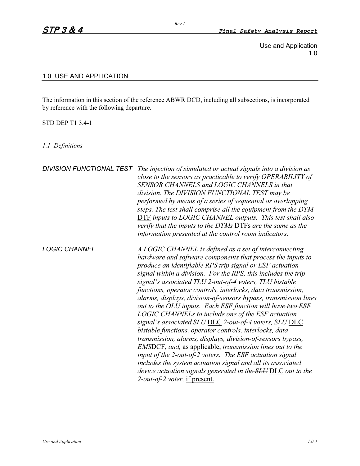Use and Application 1.0

## 1.0 USE AND APPLICATION

The information in this section of the reference ABWR DCD, including all subsections, is incorporated by reference with the following departure.

## STD DEP T1 3.4-1

*1.1 Definitions*

| <b>DIVISION FUNCTIONAL TEST</b> | The injection of simulated or actual signals into a division as<br>close to the sensors as practicable to verify OPERABILITY of<br>SENSOR CHANNELS and LOGIC CHANNELS in that<br>division. The DIVISION FUNCTIONAL TEST may be<br>performed by means of a series of sequential or overlapping<br>steps. The test shall comprise all the equipment from the DTM<br>DTF inputs to LOGIC CHANNEL outputs. This test shall also<br>verify that the inputs to the <del>DTMs</del> DTFs are the same as the<br>information presented at the control room indicators.                                                                                                                                                                                                                                                                                                                                                                                                                                                                                                           |
|---------------------------------|--------------------------------------------------------------------------------------------------------------------------------------------------------------------------------------------------------------------------------------------------------------------------------------------------------------------------------------------------------------------------------------------------------------------------------------------------------------------------------------------------------------------------------------------------------------------------------------------------------------------------------------------------------------------------------------------------------------------------------------------------------------------------------------------------------------------------------------------------------------------------------------------------------------------------------------------------------------------------------------------------------------------------------------------------------------------------|
| <b>LOGIC CHANNEL</b>            | A LOGIC CHANNEL is defined as a set of interconnecting<br>hardware and software components that process the inputs to<br>produce an identifiable RPS trip signal or ESF actuation<br>signal within a division. For the RPS, this includes the trip<br>signal's associated TLU 2-out-of-4 voters, TLU bistable<br>functions, operator controls, interlocks, data transmission,<br>alarms, displays, division-of-sensors bypass, transmission lines<br>out to the OLU inputs. Each ESF function will have two ESF<br><b>LOGIC CHANNELs to include one of the ESF actuation</b><br>signal's associated SLU DLC 2-out-of-4 voters, SLU DLC<br>bistable functions, operator controls, interlocks, data<br>transmission, alarms, displays, division-of-sensors bypass,<br><b>EMSDCF</b> , and, as applicable, transmission lines out to the<br>input of the 2-out-of-2 voters. The ESF actuation signal<br>includes the system actuation signal and all its associated<br>device actuation signals generated in the <b>SLU</b> DLC out to the<br>2-out-of-2 voter, if present. |

*Rev 1*